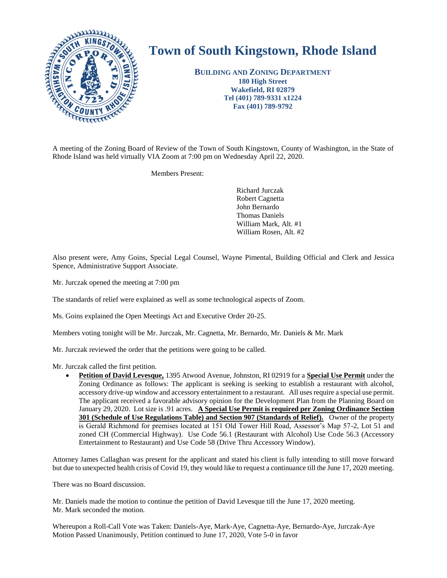

## **Town of South Kingstown, Rhode Island**

**BUILDING AND ZONING DEPARTMENT 180 High Street Wakefield, RI 02879 Tel (401) 789-9331 x1224 Fax (401) 789-9792**

A meeting of the Zoning Board of Review of the Town of South Kingstown, County of Washington, in the State of Rhode Island was held virtually VIA Zoom at 7:00 pm on Wednesday April 22, 2020.

Members Present:

Richard Jurczak Robert Cagnetta John Bernardo Thomas Daniels William Mark, Alt. #1 William Rosen, Alt. #2

Also present were, Amy Goins, Special Legal Counsel, Wayne Pimental, Building Official and Clerk and Jessica Spence, Administrative Support Associate.

Mr. Jurczak opened the meeting at 7:00 pm

The standards of relief were explained as well as some technological aspects of Zoom.

Ms. Goins explained the Open Meetings Act and Executive Order 20-25.

Members voting tonight will be Mr. Jurczak, Mr. Cagnetta, Mr. Bernardo, Mr. Daniels & Mr. Mark

Mr. Jurczak reviewed the order that the petitions were going to be called.

Mr. Jurczak called the first petition.

 **Petition of David Levesque,** 1395 Atwood Avenue, Johnston, RI 02919 for a **Special Use Permit** under the Zoning Ordinance as follows: The applicant is seeking is seeking to establish a restaurant with alcohol, accessory drive-up window and accessory entertainment to a restaurant. All uses require a special use permit. The applicant received a favorable advisory opinion for the Development Plan from the Planning Board on January 29, 2020. Lot size is .91 acres. **A Special Use Permit is required per Zoning Ordinance Section 301 (Schedule of Use Regulations Table) and Section 907 (Standards of Relief).** Owner of the property is Gerald Richmond for premises located at 151 Old Tower Hill Road, Assessor's Map 57-2, Lot 51 and zoned CH (Commercial Highway). Use Code 56.1 (Restaurant with Alcohol) Use Code 56.3 (Accessory Entertainment to Restaurant) and Use Code 58 (Drive Thru Accessory Window).

Attorney James Callaghan was present for the applicant and stated his client is fully intending to still move forward but due to unexpected health crisis of Covid 19, they would like to request a continuance till the June 17, 2020 meeting.

There was no Board discussion.

Mr. Daniels made the motion to continue the petition of David Levesque till the June 17, 2020 meeting. Mr. Mark seconded the motion.

Whereupon a Roll-Call Vote was Taken: Daniels-Aye, Mark-Aye, Cagnetta-Aye, Bernardo-Aye, Jurczak-Aye Motion Passed Unanimously, Petition continued to June 17, 2020, Vote 5-0 in favor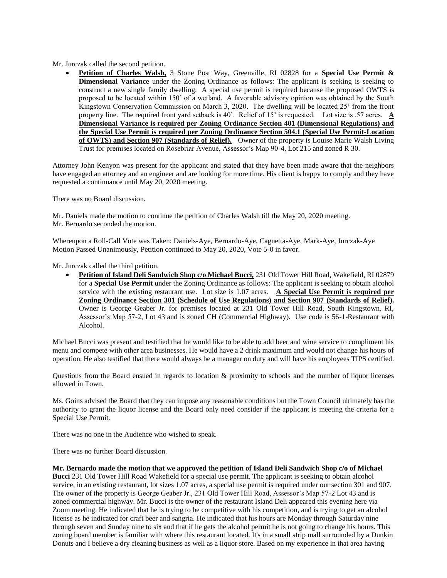Mr. Jurczak called the second petition.

 **Petition of Charles Walsh,** 3 Stone Post Way, Greenville, RI 02828 for a **Special Use Permit & Dimensional Variance** under the Zoning Ordinance as follows: The applicant is seeking is seeking to construct a new single family dwelling. A special use permit is required because the proposed OWTS is proposed to be located within 150' of a wetland. A favorable advisory opinion was obtained by the South Kingstown Conservation Commission on March 3, 2020. The dwelling will be located 25' from the front property line. The required front yard setback is 40'. Relief of 15' is requested. Lot size is .57 acres.  $\underline{A}$ **Dimensional Variance is required per Zoning Ordinance Section 401 (Dimensional Regulations) and the Special Use Permit is required per Zoning Ordinance Section 504.1 (Special Use Permit-Location of OWTS) and Section 907 (Standards of Relief).** Owner of the property is Louise Marie Walsh Living Trust for premises located on Rosebriar Avenue, Assessor's Map 90-4, Lot 215 and zoned R 30.

Attorney John Kenyon was present for the applicant and stated that they have been made aware that the neighbors have engaged an attorney and an engineer and are looking for more time. His client is happy to comply and they have requested a continuance until May 20, 2020 meeting.

There was no Board discussion.

Mr. Daniels made the motion to continue the petition of Charles Walsh till the May 20, 2020 meeting. Mr. Bernardo seconded the motion.

Whereupon a Roll-Call Vote was Taken: Daniels-Aye, Bernardo-Aye, Cagnetta-Aye, Mark-Aye, Jurczak-Aye Motion Passed Unanimously, Petition continued to May 20, 2020, Vote 5-0 in favor.

Mr. Jurczak called the third petition.

 **Petition of Island Deli Sandwich Shop c/o Michael Bucci,** 231 Old Tower Hill Road, Wakefield, RI 02879 for a **Special Use Permit** under the Zoning Ordinance as follows: The applicant is seeking to obtain alcohol service with the existing restaurant use. Lot size is 1.07 acres. **A Special Use Permit is required per Zoning Ordinance Section 301 (Schedule of Use Regulations) and Section 907 (Standards of Relief).** Owner is George Geaber Jr. for premises located at 231 Old Tower Hill Road, South Kingstown, RI, Assessor's Map 57-2, Lot 43 and is zoned CH (Commercial Highway). Use code is 56-1-Restaurant with Alcohol.

Michael Bucci was present and testified that he would like to be able to add beer and wine service to compliment his menu and compete with other area businesses. He would have a 2 drink maximum and would not change his hours of operation. He also testified that there would always be a manager on duty and will have his employees TIPS certified.

Questions from the Board ensued in regards to location & proximity to schools and the number of liquor licenses allowed in Town.

Ms. Goins advised the Board that they can impose any reasonable conditions but the Town Council ultimately has the authority to grant the liquor license and the Board only need consider if the applicant is meeting the criteria for a Special Use Permit.

There was no one in the Audience who wished to speak.

There was no further Board discussion.

**Mr. Bernardo made the motion that we approved the petition of Island Deli Sandwich Shop c/o of Michael Bucci** 231 Old Tower Hill Road Wakefield for a special use permit. The applicant is seeking to obtain alcohol service, in an existing restaurant, lot sizes 1.07 acres, a special use permit is required under our section 301 and 907. The owner of the property is George Geaber Jr., 231 Old Tower Hill Road, Assessor's Map 57-2 Lot 43 and is zoned commercial highway. Mr. Bucci is the owner of the restaurant Island Deli appeared this evening here via Zoom meeting. He indicated that he is trying to be competitive with his competition, and is trying to get an alcohol license as he indicated for craft beer and sangria. He indicated that his hours are Monday through Saturday nine through seven and Sunday nine to six and that if he gets the alcohol permit he is not going to change his hours. This zoning board member is familiar with where this restaurant located. It's in a small strip mall surrounded by a Dunkin Donuts and I believe a dry cleaning business as well as a liquor store. Based on my experience in that area having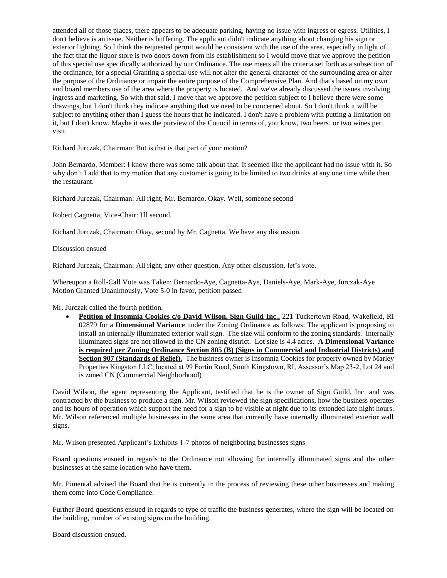attended all of those places, there appears to be adequate parking, having no issue with ingress or egress. Utilities, I don't believe is an issue. Neither is buffering. The applicant didn't indicate anything about changing his sign or exterior lighting. So I think the requested permit would be consistent with the use of the area, especially in light of the fact that the liquor store is two doors down from his establishment so I would move that we approve the petition of this special use specifically authorized by our Ordinance. The use meets all the criteria set forth as a subsection of the ordinance, for a special Granting a special use will not alter the general character of the surrounding area or alter the purpose of the Ordinance or impair the entire purpose of the Comprehensive Plan. And that's based on my own and board members use of the area where the property is located. And we've already discussed the issues involving ingress and marketing. So with that said, I move that we approve the petition subject to I believe there were some drawings, but I don't think they indicate anything that we need to be concerned about. So I don't think it will be subject to anything other than I guess the hours that he indicated. I don't have a problem with putting a limitation on it, but I don't know. Maybe it was the purview of the Council in terms of, you know, two beers, or two wines per visit.

Richard Jurczak, Chairman: But is that is that part of your motion?

John Bernardo, Member: I know there was some talk about that. It seemed like the applicant had no issue with it. So why don't I add that to my motion that any customer is going to be limited to two drinks at any one time while then the restaurant.

Richard Jurczak, Chairman: All right, Mr. Bernardo. Okay. Well, someone second

Robert Cagnetta, Vice-Chair: I'll second.

Richard Jurczak, Chairman: Okay, second by Mr. Cagnetta. We have any discussion.

Discussion ensued

Richard Jurczak, Chairman: All right, any other question. Any other discussion, let's vote.

Whereupon a Roll-Call Vote was Taken: Bernardo-Aye, Cagnetta-Aye, Daniels-Aye, Mark-Aye, Jurczak-Aye Motion Granted Unanimously, Vote 5-0 in favor, petition passed

Mr. Jurczak called the fourth petition.

Petition of Insomnia Cookies c/o David Wilson, Sign Guild Inc., 221 Tuckertown Road, Wakefield, RI 02879 for a **Dimensional Variance** under the Zoning Ordinance as follows: The applicant is proposing to install an internally illuminated exterior wall sign. The size will conform to the zoning standards. Internally illuminated signs are not allowed in the CN zoning district. Lot size is 4.4 acres. **A Dimensional Variance is required per Zoning Ordinance Section 805 (B) (Signs in Commercial and Industrial Districts) and Section 907 (Standards of Relief).** The business owner is Insomnia Cookies for property owned by Marley Properties Kingston LLC, located at 99 Fortin Road, South Kingstown, RI, Assessor's Map 23-2, Lot 24 and is zoned CN (Commercial Neighborhood)

David Wilson, the agent representing the Applicant, testified that he is the owner of Sign Guild, Inc. and was contracted by the business to produce a sign. Mr. Wilson reviewed the sign specifications, how the business operates and its hours of operation which support the need for a sign to be visible at night due to its extended late night hours. Mr. Wilson referenced multiple businesses in the same area that currently have internally illuminated exterior wall signs.

Mr. Wilson presented Applicant's Exhibits 1-7 photos of neighboring businesses signs

Board questions ensued in regards to the Ordinance not allowing for internally illuminated signs and the other businesses at the same location who have them.

Mr. Pimental advised the Board that he is currently in the process of reviewing these other businesses and making them come into Code Compliance.

Further Board questions ensued in regards to type of traffic the business generates, where the sign will be located on the building, number of existing signs on the building.

Board discussion ensued.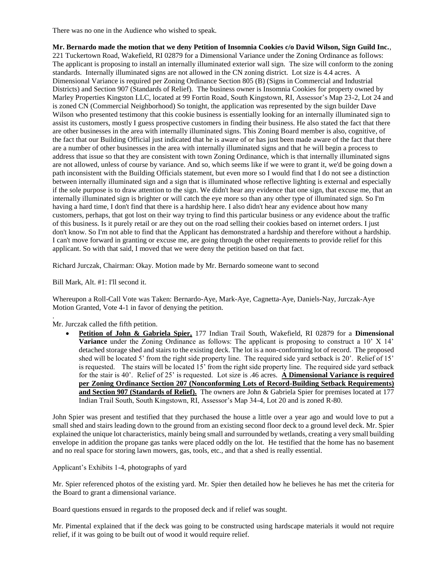There was no one in the Audience who wished to speak.

**Mr. Bernardo made the motion that we deny Petition of Insomnia Cookies c/o David Wilson, Sign Guild Inc.**, 221 Tuckertown Road, Wakefield, RI 02879 for a Dimensional Variance under the Zoning Ordinance as follows: The applicant is proposing to install an internally illuminated exterior wall sign. The size will conform to the zoning standards. Internally illuminated signs are not allowed in the CN zoning district. Lot size is 4.4 acres. A Dimensional Variance is required per Zoning Ordinance Section 805 (B) (Signs in Commercial and Industrial Districts) and Section 907 (Standards of Relief). The business owner is Insomnia Cookies for property owned by Marley Properties Kingston LLC, located at 99 Fortin Road, South Kingstown, RI, Assessor's Map 23-2, Lot 24 and is zoned CN (Commercial Neighborhood) So tonight, the application was represented by the sign builder Dave Wilson who presented testimony that this cookie business is essentially looking for an internally illuminated sign to assist its customers, mostly I guess prospective customers in finding their business. He also stated the fact that there are other businesses in the area with internally illuminated signs. This Zoning Board member is also, cognitive, of the fact that our Building Official just indicated that he is aware of or has just been made aware of the fact that there are a number of other businesses in the area with internally illuminated signs and that he will begin a process to address that issue so that they are consistent with town Zoning Ordinance, which is that internally illuminated signs are not allowed, unless of course by variance. And so, which seems like if we were to grant it, we'd be going down a path inconsistent with the Building Officials statement, but even more so I would find that I do not see a distinction between internally illuminated sign and a sign that is illuminated whose reflective lighting is external and especially if the sole purpose is to draw attention to the sign. We didn't hear any evidence that one sign, that excuse me, that an internally illuminated sign is brighter or will catch the eye more so than any other type of illuminated sign. So I'm having a hard time, I don't find that there is a hardship here. I also didn't hear any evidence about how many customers, perhaps, that got lost on their way trying to find this particular business or any evidence about the traffic of this business. Is it purely retail or are they out on the road selling their cookies based on internet orders. I just don't know. So I'm not able to find that the Applicant has demonstrated a hardship and therefore without a hardship. I can't move forward in granting or excuse me, are going through the other requirements to provide relief for this applicant. So with that said, I moved that we were deny the petition based on that fact.

Richard Jurczak, Chairman: Okay. Motion made by Mr. Bernardo someone want to second

Bill Mark, Alt. #1: I'll second it.

Whereupon a Roll-Call Vote was Taken: Bernardo-Aye, Mark-Aye, Cagnetta-Aye, Daniels-Nay, Jurczak-Aye Motion Granted, Vote 4-1 in favor of denying the petition.

. Mr. Jurczak called the fifth petition.

> **Petition of John & Gabriela Spier,** 177 Indian Trail South, Wakefield, RI 02879 for a **Dimensional Variance** under the Zoning Ordinance as follows: The applicant is proposing to construct a 10' X 14' detached storage shed and stairs to the existing deck. The lot is a non-conforming lot of record. The proposed shed will be located 5' from the right side property line. The required side yard setback is 20'. Relief of 15' is requested. The stairs will be located 15' from the right side property line. The required side yard setback for the stair is 40'. Relief of 25' is requested. Lot size is .46 acres. **A Dimensional Variance is required per Zoning Ordinance Section 207 (Nonconforming Lots of Record-Building Setback Requirements) and Section 907 (Standards of Relief).** The owners are John & Gabriela Spier for premises located at 177 Indian Trail South, South Kingstown, RI, Assessor's Map 34-4, Lot 20 and is zoned R-80.

John Spier was present and testified that they purchased the house a little over a year ago and would love to put a small shed and stairs leading down to the ground from an existing second floor deck to a ground level deck. Mr. Spier explained the unique lot characteristics, mainly being small and surrounded by wetlands, creating a very small building envelope in addition the propane gas tanks were placed oddly on the lot. He testified that the home has no basement and no real space for storing lawn mowers, gas, tools, etc., and that a shed is really essential.

Applicant's Exhibits 1-4, photographs of yard

Mr. Spier referenced photos of the existing yard. Mr. Spier then detailed how he believes he has met the criteria for the Board to grant a dimensional variance.

Board questions ensued in regards to the proposed deck and if relief was sought.

Mr. Pimental explained that if the deck was going to be constructed using hardscape materials it would not require relief, if it was going to be built out of wood it would require relief.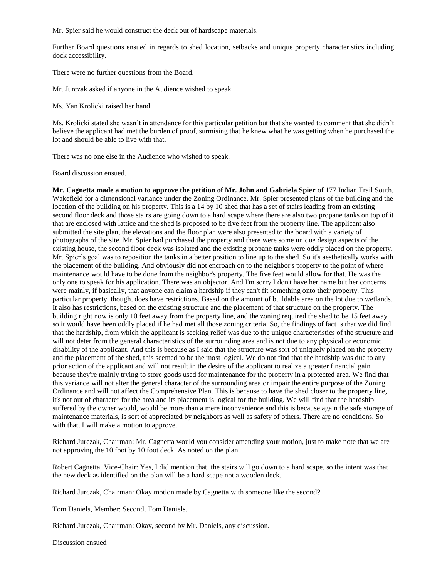Mr. Spier said he would construct the deck out of hardscape materials.

Further Board questions ensued in regards to shed location, setbacks and unique property characteristics including dock accessibility.

There were no further questions from the Board.

Mr. Jurczak asked if anyone in the Audience wished to speak.

Ms. Yan Krolicki raised her hand.

Ms. Krolicki stated she wasn't in attendance for this particular petition but that she wanted to comment that she didn't believe the applicant had met the burden of proof, surmising that he knew what he was getting when he purchased the lot and should be able to live with that.

There was no one else in the Audience who wished to speak.

Board discussion ensued.

**Mr. Cagnetta made a motion to approve the petition of Mr. John and Gabriela Spier** of 177 Indian Trail South, Wakefield for a dimensional variance under the Zoning Ordinance. Mr. Spier presented plans of the building and the location of the building on his property. This is a 14 by 10 shed that has a set of stairs leading from an existing second floor deck and those stairs are going down to a hard scape where there are also two propane tanks on top of it that are enclosed with lattice and the shed is proposed to be five feet from the property line. The applicant also submitted the site plan, the elevations and the floor plan were also presented to the board with a variety of photographs of the site. Mr. Spier had purchased the property and there were some unique design aspects of the existing house, the second floor deck was isolated and the existing propane tanks were oddly placed on the property. Mr. Spier's goal was to reposition the tanks in a better position to line up to the shed. So it's aesthetically works with the placement of the building. And obviously did not encroach on to the neighbor's property to the point of where maintenance would have to be done from the neighbor's property. The five feet would allow for that. He was the only one to speak for his application. There was an objector. And I'm sorry I don't have her name but her concerns were mainly, if basically, that anyone can claim a hardship if they can't fit something onto their property. This particular property, though, does have restrictions. Based on the amount of buildable area on the lot due to wetlands. It also has restrictions, based on the existing structure and the placement of that structure on the property. The building right now is only 10 feet away from the property line, and the zoning required the shed to be 15 feet away so it would have been oddly placed if he had met all those zoning criteria. So, the findings of fact is that we did find that the hardship, from which the applicant is seeking relief was due to the unique characteristics of the structure and will not deter from the general characteristics of the surrounding area and is not due to any physical or economic disability of the applicant. And this is because as I said that the structure was sort of uniquely placed on the property and the placement of the shed, this seemed to be the most logical. We do not find that the hardship was due to any prior action of the applicant and will not result.in the desire of the applicant to realize a greater financial gain because they're mainly trying to store goods used for maintenance for the property in a protected area. We find that this variance will not alter the general character of the surrounding area or impair the entire purpose of the Zoning Ordinance and will not affect the Comprehensive Plan. This is because to have the shed closer to the property line, it's not out of character for the area and its placement is logical for the building. We will find that the hardship suffered by the owner would, would be more than a mere inconvenience and this is because again the safe storage of maintenance materials, is sort of appreciated by neighbors as well as safety of others. There are no conditions. So with that, I will make a motion to approve.

Richard Jurczak, Chairman: Mr. Cagnetta would you consider amending your motion, just to make note that we are not approving the 10 foot by 10 foot deck. As noted on the plan.

Robert Cagnetta, Vice-Chair: Yes, I did mention that the stairs will go down to a hard scape, so the intent was that the new deck as identified on the plan will be a hard scape not a wooden deck.

Richard Jurczak, Chairman: Okay motion made by Cagnetta with someone like the second?

Tom Daniels, Member: Second, Tom Daniels.

Richard Jurczak, Chairman: Okay, second by Mr. Daniels, any discussion.

Discussion ensued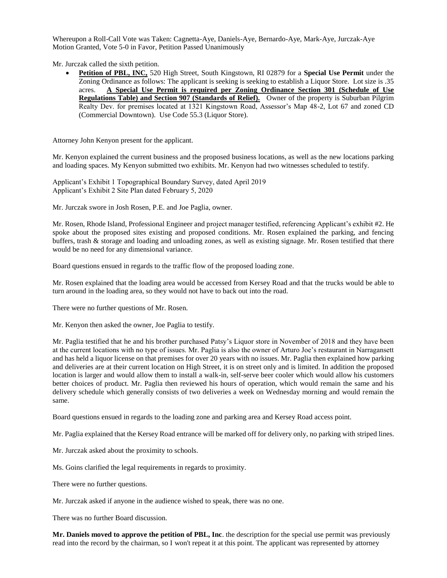Whereupon a Roll-Call Vote was Taken: Cagnetta-Aye, Daniels-Aye, Bernardo-Aye, Mark-Aye, Jurczak-Aye Motion Granted, Vote 5-0 in Favor, Petition Passed Unanimously

Mr. Jurczak called the sixth petition.

 **Petition of PBL, INC,** 520 High Street, South Kingstown, RI 02879 for a **Special Use Permit** under the Zoning Ordinance as follows: The applicant is seeking is seeking to establish a Liquor Store. Lot size is .35 acres. **A Special Use Permit is required per Zoning Ordinance Section 301 (Schedule of Use Regulations Table) and Section 907 (Standards of Relief).** Owner of the property is Suburban Pilgrim Realty Dev. for premises located at 1321 Kingstown Road, Assessor's Map 48-2, Lot 67 and zoned CD (Commercial Downtown). Use Code 55.3 (Liquor Store).

Attorney John Kenyon present for the applicant.

Mr. Kenyon explained the current business and the proposed business locations, as well as the new locations parking and loading spaces. My Kenyon submitted two exhibits. Mr. Kenyon had two witnesses scheduled to testify.

Applicant's Exhibit 1 Topographical Boundary Survey, dated April 2019 Applicant's Exhibit 2 Site Plan dated February 5, 2020

Mr. Jurczak swore in Josh Rosen, P.E. and Joe Paglia, owner.

Mr. Rosen, Rhode Island, Professional Engineer and project manager testified, referencing Applicant's exhibit #2. He spoke about the proposed sites existing and proposed conditions. Mr. Rosen explained the parking, and fencing buffers, trash & storage and loading and unloading zones, as well as existing signage. Mr. Rosen testified that there would be no need for any dimensional variance.

Board questions ensued in regards to the traffic flow of the proposed loading zone.

Mr. Rosen explained that the loading area would be accessed from Kersey Road and that the trucks would be able to turn around in the loading area, so they would not have to back out into the road.

There were no further questions of Mr. Rosen.

Mr. Kenyon then asked the owner, Joe Paglia to testify.

Mr. Paglia testified that he and his brother purchased Patsy's Liquor store in November of 2018 and they have been at the current locations with no type of issues. Mr. Paglia is also the owner of Arturo Joe's restaurant in Narragansett and has held a liquor license on that premises for over 20 years with no issues. Mr. Paglia then explained how parking and deliveries are at their current location on High Street, it is on street only and is limited. In addition the proposed location is larger and would allow them to install a walk-in, self-serve beer cooler which would allow his customers better choices of product. Mr. Paglia then reviewed his hours of operation, which would remain the same and his delivery schedule which generally consists of two deliveries a week on Wednesday morning and would remain the same.

Board questions ensued in regards to the loading zone and parking area and Kersey Road access point.

Mr. Paglia explained that the Kersey Road entrance will be marked off for delivery only, no parking with striped lines.

Mr. Jurczak asked about the proximity to schools.

Ms. Goins clarified the legal requirements in regards to proximity.

There were no further questions.

Mr. Jurczak asked if anyone in the audience wished to speak, there was no one.

There was no further Board discussion.

**Mr. Daniels moved to approve the petition of PBL, Inc**. the description for the special use permit was previously read into the record by the chairman, so I won't repeat it at this point. The applicant was represented by attorney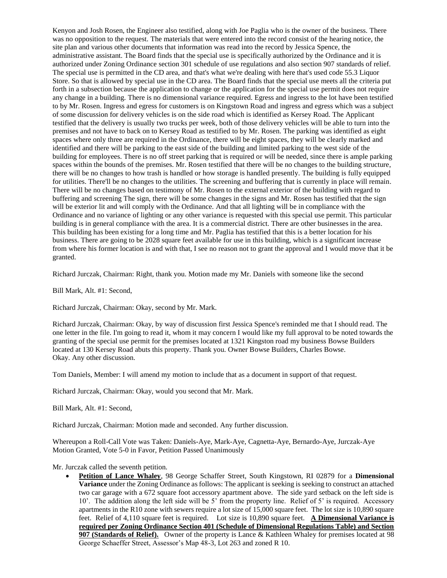Kenyon and Josh Rosen, the Engineer also testified, along with Joe Paglia who is the owner of the business. There was no opposition to the request. The materials that were entered into the record consist of the hearing notice, the site plan and various other documents that information was read into the record by Jessica Spence, the administrative assistant. The Board finds that the special use is specifically authorized by the Ordinance and it is authorized under Zoning Ordinance section 301 schedule of use regulations and also section 907 standards of relief. The special use is permitted in the CD area, and that's what we're dealing with here that's used code 55.3 Liquor Store. So that is allowed by special use in the CD area. The Board finds that the special use meets all the criteria put forth in a subsection because the application to change or the application for the special use permit does not require any change in a building. There is no dimensional variance required. Egress and ingress to the lot have been testified to by Mr. Rosen. Ingress and egress for customers is on Kingstown Road and ingress and egress which was a subject of some discussion for delivery vehicles is on the side road which is identified as Kersey Road. The Applicant testified that the delivery is usually two trucks per week, both of those delivery vehicles will be able to turn into the premises and not have to back on to Kersey Road as testified to by Mr. Rosen. The parking was identified as eight spaces where only three are required in the Ordinance, there will be eight spaces, they will be clearly marked and identified and there will be parking to the east side of the building and limited parking to the west side of the building for employees. There is no off street parking that is required or will be needed, since there is ample parking spaces within the bounds of the premises. Mr. Rosen testified that there will be no changes to the building structure, there will be no changes to how trash is handled or how storage is handled presently. The building is fully equipped for utilities. There'll be no changes to the utilities. The screening and buffering that is currently in place will remain. There will be no changes based on testimony of Mr. Rosen to the external exterior of the building with regard to buffering and screening The sign, there will be some changes in the signs and Mr. Rosen has testified that the sign will be exterior lit and will comply with the Ordinance. And that all lighting will be in compliance with the Ordinance and no variance of lighting or any other variance is requested with this special use permit. This particular building is in general compliance with the area. It is a commercial district. There are other businesses in the area. This building has been existing for a long time and Mr. Paglia has testified that this is a better location for his business. There are going to be 2028 square feet available for use in this building, which is a significant increase from where his former location is and with that, I see no reason not to grant the approval and I would move that it be granted.

Richard Jurczak, Chairman: Right, thank you. Motion made my Mr. Daniels with someone like the second

Bill Mark, Alt. #1: Second,

Richard Jurczak, Chairman: Okay, second by Mr. Mark.

Richard Jurczak, Chairman: Okay, by way of discussion first Jessica Spence's reminded me that I should read. The one letter in the file. I'm going to read it, whom it may concern I would like my full approval to be noted towards the granting of the special use permit for the premises located at 1321 Kingston road my business Bowse Builders located at 130 Kersey Road abuts this property. Thank you. Owner Bowse Builders, Charles Bowse. Okay. Any other discussion.

Tom Daniels, Member: I will amend my motion to include that as a document in support of that request.

Richard Jurczak, Chairman: Okay, would you second that Mr. Mark.

Bill Mark, Alt. #1: Second,

Richard Jurczak, Chairman: Motion made and seconded. Any further discussion.

Whereupon a Roll-Call Vote was Taken: Daniels-Aye, Mark-Aye, Cagnetta-Aye, Bernardo-Aye, Jurczak-Aye Motion Granted, Vote 5-0 in Favor, Petition Passed Unanimously

Mr. Jurczak called the seventh petition.

 **Petition of Lance Whaley**, 98 George Schaffer Street, South Kingstown, RI 02879 for a **Dimensional Variance** under the Zoning Ordinance as follows: The applicant is seeking is seeking to construct an attached two car garage with a 672 square foot accessory apartment above. The side yard setback on the left side is 10'. The addition along the left side will be 5' from the property line. Relief of 5' is required. Accessory apartments in the R10 zone with sewers require a lot size of 15,000 square feet. The lot size is 10,890 square feet. Relief of 4,110 square feet is required. Lot size is 10,890 square feet. **A Dimensional Variance is required per Zoning Ordinance Section 401 (Schedule of Dimensional Regulations Table) and Section 907 (Standards of Relief).** Owner of the property is Lance & Kathleen Whaley for premises located at 98 George Schaeffer Street, Assessor's Map 48-3, Lot 263 and zoned R 10.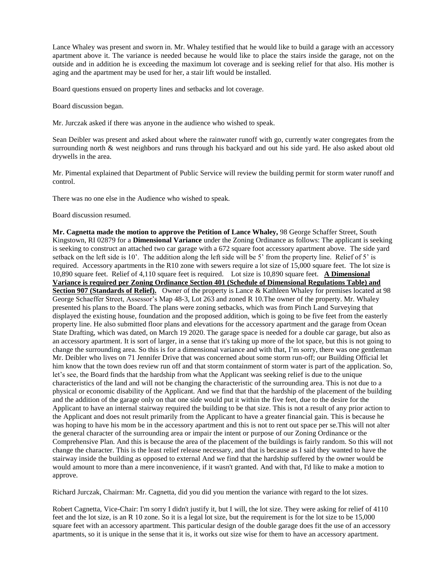Lance Whaley was present and sworn in. Mr. Whaley testified that he would like to build a garage with an accessory apartment above it. The variance is needed because he would like to place the stairs inside the garage, not on the outside and in addition he is exceeding the maximum lot coverage and is seeking relief for that also. His mother is aging and the apartment may be used for her, a stair lift would be installed.

Board questions ensued on property lines and setbacks and lot coverage.

Board discussion began.

Mr. Jurczak asked if there was anyone in the audience who wished to speak.

Sean Deibler was present and asked about where the rainwater runoff with go, currently water congregates from the surrounding north & west neighbors and runs through his backyard and out his side yard. He also asked about old drywells in the area.

Mr. Pimental explained that Department of Public Service will review the building permit for storm water runoff and control.

There was no one else in the Audience who wished to speak.

Board discussion resumed.

**Mr. Cagnetta made the motion to approve the Petition of Lance Whaley,** 98 George Schaffer Street, South Kingstown, RI 02879 for a **Dimensional Variance** under the Zoning Ordinance as follows: The applicant is seeking is seeking to construct an attached two car garage with a 672 square foot accessory apartment above. The side yard setback on the left side is 10'. The addition along the left side will be 5' from the property line. Relief of 5' is required. Accessory apartments in the R10 zone with sewers require a lot size of 15,000 square feet. The lot size is 10,890 square feet. Relief of 4,110 square feet is required. Lot size is 10,890 square feet. **A Dimensional Variance is required per Zoning Ordinance Section 401 (Schedule of Dimensional Regulations Table) and**  Section 907 (Standards of Relief). Owner of the property is Lance & Kathleen Whaley for premises located at 98 George Schaeffer Street, Assessor's Map 48-3, Lot 263 and zoned R 10.The owner of the property. Mr. Whaley presented his plans to the Board. The plans were zoning setbacks, which was from Pinch Land Surveying that displayed the existing house, foundation and the proposed addition, which is going to be five feet from the easterly property line. He also submitted floor plans and elevations for the accessory apartment and the garage from Ocean State Drafting, which was dated, on March 19 2020. The garage space is needed for a double car garage, but also as an accessory apartment. It is sort of larger, in a sense that it's taking up more of the lot space, but this is not going to change the surrounding area. So this is for a dimensional variance and with that, I'm sorry, there was one gentleman Mr. Deibler who lives on 71 Jennifer Drive that was concerned about some storm run-off; our Building Official let him know that the town does review run off and that storm containment of storm water is part of the application. So, let's see, the Board finds that the hardship from what the Applicant was seeking relief is due to the unique characteristics of the land and will not be changing the characteristic of the surrounding area. This is not due to a physical or economic disability of the Applicant. And we find that that the hardship of the placement of the building and the addition of the garage only on that one side would put it within the five feet, due to the desire for the Applicant to have an internal stairway required the building to be that size. This is not a result of any prior action to the Applicant and does not result primarily from the Applicant to have a greater financial gain. This is because he was hoping to have his mom be in the accessory apartment and this is not to rent out space per se.This will not alter the general character of the surrounding area or impair the intent or purpose of our Zoning Ordinance or the Comprehensive Plan. And this is because the area of the placement of the buildings is fairly random. So this will not change the character. This is the least relief release necessary, and that is because as I said they wanted to have the stairway inside the building as opposed to external And we find that the hardship suffered by the owner would be would amount to more than a mere inconvenience, if it wasn't granted. And with that, I'd like to make a motion to approve.

Richard Jurczak, Chairman: Mr. Cagnetta, did you did you mention the variance with regard to the lot sizes.

Robert Cagnetta, Vice-Chair: I'm sorry I didn't justify it, but I will, the lot size. They were asking for relief of 4110 feet and the lot size, is an R 10 zone. So it is a legal lot size, but the requirement is for the lot size to be 15,000 square feet with an accessory apartment. This particular design of the double garage does fit the use of an accessory apartments, so it is unique in the sense that it is, it works out size wise for them to have an accessory apartment.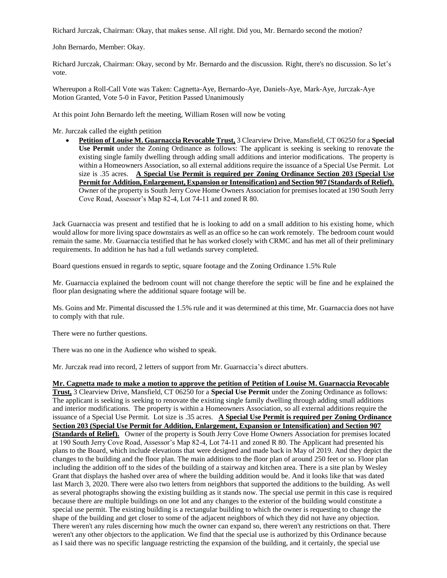Richard Jurczak, Chairman: Okay, that makes sense. All right. Did you, Mr. Bernardo second the motion?

John Bernardo, Member: Okay.

Richard Jurczak, Chairman: Okay, second by Mr. Bernardo and the discussion. Right, there's no discussion. So let's vote.

Whereupon a Roll-Call Vote was Taken: Cagnetta-Aye, Bernardo-Aye, Daniels-Aye, Mark-Aye, Jurczak-Aye Motion Granted, Vote 5-0 in Favor, Petition Passed Unanimously

At this point John Bernardo left the meeting, William Rosen will now be voting

Mr. Jurczak called the eighth petition

 **Petition of Louise M. Guarnaccia Revocable Trust,** 3 Clearview Drive, Mansfield, CT 06250 for a **Special Use Permit** under the Zoning Ordinance as follows: The applicant is seeking is seeking to renovate the existing single family dwelling through adding small additions and interior modifications. The property is within a Homeowners Association, so all external additions require the issuance of a Special Use Permit. Lot size is .35 acres. **A Special Use Permit is required per Zoning Ordinance Section 203 (Special Use Permit for Addition, Enlargement, Expansion or Intensification) and Section 907 (Standards of Relief).** Owner of the property is South Jerry Cove Home Owners Association for premises located at 190 South Jerry Cove Road, Assessor's Map 82-4, Lot 74-11 and zoned R 80.

Jack Guarnaccia was present and testified that he is looking to add on a small addition to his existing home, which would allow for more living space downstairs as well as an office so he can work remotely. The bedroom count would remain the same. Mr. Guarnaccia testified that he has worked closely with CRMC and has met all of their preliminary requirements. In addition he has had a full wetlands survey completed.

Board questions ensued in regards to septic, square footage and the Zoning Ordinance 1.5% Rule

Mr. Guarnaccia explained the bedroom count will not change therefore the septic will be fine and he explained the floor plan designating where the additional square footage will be.

Ms. Goins and Mr. Pimental discussed the 1.5% rule and it was determined at this time, Mr. Guarnaccia does not have to comply with that rule.

There were no further questions.

There was no one in the Audience who wished to speak.

Mr. Jurczak read into record, 2 letters of support from Mr. Guarnaccia's direct abutters.

**Mr. Cagnetta made to make a motion to approve the petition of Petition of Louise M. Guarnaccia Revocable Trust,** 3 Clearview Drive, Mansfield, CT 06250 for a **Special Use Permit** under the Zoning Ordinance as follows: The applicant is seeking is seeking to renovate the existing single family dwelling through adding small additions and interior modifications. The property is within a Homeowners Association, so all external additions require the issuance of a Special Use Permit. Lot size is .35 acres. **A Special Use Permit is required per Zoning Ordinance Section 203 (Special Use Permit for Addition, Enlargement, Expansion or Intensification) and Section 907 (Standards of Relief).** Owner of the property is South Jerry Cove Home Owners Association for premises located at 190 South Jerry Cove Road, Assessor's Map 82-4, Lot 74-11 and zoned R 80. The Applicant had presented his plans to the Board, which include elevations that were designed and made back in May of 2019. And they depict the changes to the building and the floor plan. The main additions to the floor plan of around 250 feet or so. Floor plan including the addition off to the sides of the building of a stairway and kitchen area. There is a site plan by Wesley Grant that displays the hashed over area of where the building addition would be. And it looks like that was dated last March 3, 2020. There were also two letters from neighbors that supported the additions to the building. As well as several photographs showing the existing building as it stands now. The special use permit in this case is required because there are multiple buildings on one lot and any changes to the exterior of the building would constitute a special use permit. The existing building is a rectangular building to which the owner is requesting to change the shape of the building and get closer to some of the adjacent neighbors of which they did not have any objection. There weren't any rules discerning how much the owner can expand so, there weren't any restrictions on that. There weren't any other objectors to the application. We find that the special use is authorized by this Ordinance because as I said there was no specific language restricting the expansion of the building, and it certainly, the special use